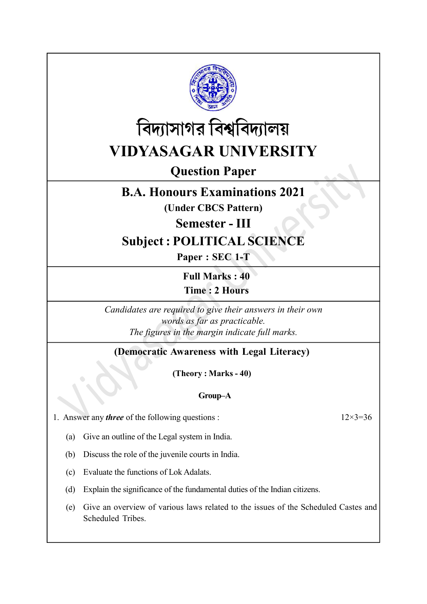



# Question Paper

# B.A. Honours Examinations 2021

(Under CBCS Pattern)

Semester - III

# Subject : POLITICAL SCIENCE

Paper : SEC 1-T

Full Marks : 40 Time : 2 Hours

Candidates are required to give their answers in their own words as far as practicable. The figures in the margin indicate full marks.

### (Democratic Awareness with Legal Literacy)

(Theory : Marks - 40)

### Group–A

1. Answer any *three* of the following questions :  $12 \times 3 = 36$ 

(a) Give an outline of the Legal system in India.

(b) Discuss the role of the juvenile courts in India.

(c) Evaluate the functions of Lok Adalats.

(d) Explain the significance of the fundamental duties of the Indian citizens.

(e) Give an overview of various laws related to the issues of the Scheduled Castes and Scheduled Tribes.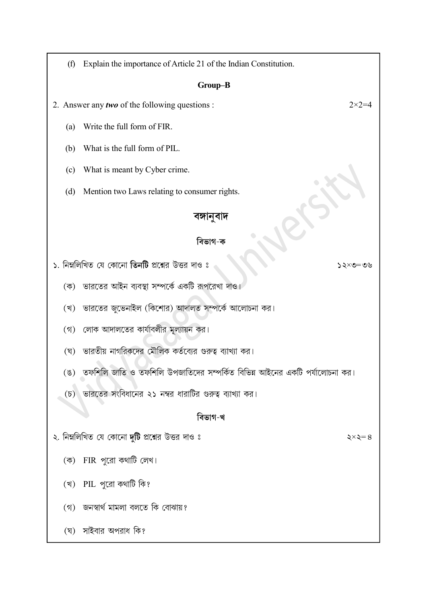(f) Explain the importance of Article 21 of the Indian Constitution.

#### Group–B

2. Answer any *two* of the following questions :  $2 \times 2 = 4$ 

- (a) Write the full form of FIR.
- (b) What is the full form of PIL.
- (c) What is meant by Cyber crime.
- (d) Mention two Laws relating to consumer rights.

### বঙ্গানুবাদ

### বিভাগ-ক

- ১. নিম্নলিখিত যে কোনো তিনটি প্রশ্নের উত্তর দাও ঃ
	- (ক) ভারতের আইন ব্যবস্থা সম্পর্কে একটি রূপরেখা দাও।
	- (খ) ভারতের জুভেনাইল (কিশোর) আদালত সম্পর্কে আলোচনা কর।
	- (গ) লোক আদালতের কার্যাবলীর মূল্যায়ন কর।
	- (ঘ) ভারতীয় নাগরিকদের মৌলিক কর্তব্যের গুরুত্ব ব্যাখ্যা কর।
	- (ঙ) তফশিলি জাতি ও তফশিলি উপজাতিদের সম্পর্কিত বিভিন্ন আইনের একটি পর্যালোচনা কর।
	- (চ) ভারতের সংবিধানের ২১ নম্বর ধারাটির গুরুত্ব ব্যাখ্যা কর।

#### বিভাগ-খ

- ২. নিম্নলিখিত যে কোনো দুটি প্রশ্নের উত্তর দাও ঃ
	- (ক) FIR পরো কথাটি লেখ।
	- $(3)$  PIL পুরো কথাটি কি?
	- (গ) জনস্বার্থ মামলা বলতে কি বোঝায়?
	- (ঘ) সাইবার অপরাধ কি?

 $90 = 0 \times 52$ 

 $\zeta \times \zeta = 8$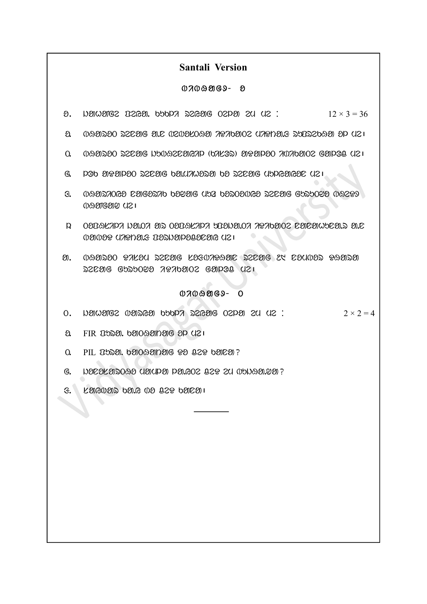### Santali Version

#### $07009069 - 8$

- $\theta$ . Nether peys that the peyagon of  $\theta$  is  $\theta$  is  $\theta$  is  $\theta$  is  $\theta$  is  $\theta$  is  $\theta$  is  $\theta$  is  $\theta$  is  $\theta$  is  $\theta$  is  $\theta$  is  $\theta$  is  $\theta$  is  $\theta$  is  $\theta$  is  $\theta$  is  $\theta$  is  $\theta$  is  $\theta$  is  $\theta$  is  $\theta$  is  $\theta$  is
- $0.$  0890200 222916 9.12 020920890 79709102 079091.8 200226890 9P 021
- $\Omega$  0. bag along the proposition of the control means of the galor  $\Omega$  in  $\Omega$
- $G$ . pob aDaloD secale ba.unwasa ba secale uppeared usu
- $\mathcal{F}_{\mathcal{S}}$  and  $\mathcal{S}_{\mathcal{S}}$  becomes bed and  $\mathcal{S}_{\mathcal{S}}$  becomes because  $\mathcal{S}_{\mathcal{S}}$ bHaNgaw me|
- l. TopHsili ja.Ti ar TopHsili upoja.Ti iDiKaTe nanahuna.r a.n  $0$ 2009  $0$  midde  $0$  midde  $0$  and  $\delta$  and  $\delta$  means  $0$  and  $\delta$  and  $\delta$  and  $\delta$  and  $\delta$  and  $\delta$  and  $\delta$  and  $\delta$  and  $\delta$  and  $\delta$  and  $\delta$  and  $\delta$  and  $\delta$  and  $\delta$  and  $\delta$  and  $\delta$  and  $\delta$  and  $\delta$  and  $\delta$
- $\mathfrak{D}.$  0891300  $\Omega$ 7204 SZCOG 233017 $\Omega$ BB SZCOG 24 COU003  $\Omega$ 89130  $52$  $C3G$   $G$   $555022$   $7970202$   $G3121$

#### $07009069 - 0$

- $\alpha$ . New the consider that  $\alpha$  is  $\alpha$  is  $\alpha$  is  $\alpha$  is  $\alpha$  is  $\alpha$  is  $\alpha$  is  $2 \times 2 = 4$
- a FIR DOSO. 6000900006 OP U21
- $0.$  PIL  $B$ ban. banoannaig  $929.029$  bai $29$ ?
- $G.$  DOCOLOROGO UONPO POLOC 829 20 09090.90 ?
- $f: E$  *kaiguar bare da da da kanaa* ka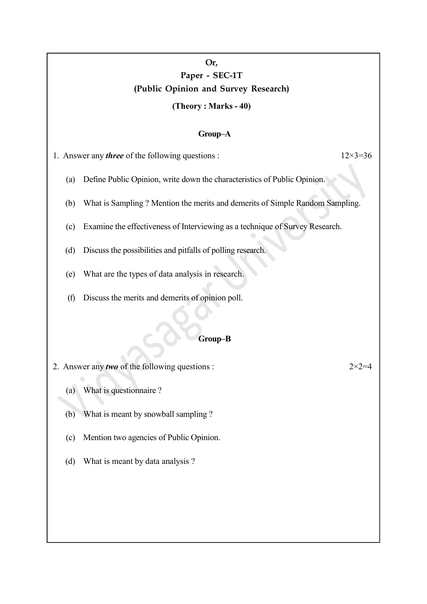## Or, Paper - SEC-1T (Public Opinion and Survey Research)

#### (Theory : Marks - 40)

#### Group–A

1. Answer any *three* of the following questions :  $12 \times 3 = 36$ 

- (a) Define Public Opinion, write down the characteristics of Public Opinion.
- (b) What is Sampling ? Mention the merits and demerits of Simple Random Sampling.
- (c) Examine the effectiveness of Interviewing as a technique of Survey Research.
- (d) Discuss the possibilities and pitfalls of polling research.
- (e) What are the types of data analysis in research.
- (f) Discuss the merits and demerits of opinion poll.

#### Group–B

- 2. Answer any *two* of the following questions :  $2 \times 2 = 4$ 
	- (a) What is questionnaire ?
	- (b) What is meant by snowball sampling ?
	- (c) Mention two agencies of Public Opinion.
	- (d) What is meant by data analysis ?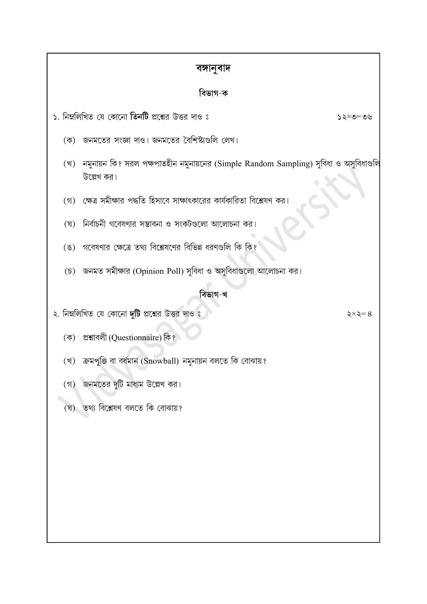| বঙ্গানুবাদ          |                                                                                                    |                      |
|---------------------|----------------------------------------------------------------------------------------------------|----------------------|
| বিভাগ-ক             |                                                                                                    |                      |
|                     | ১. নিম্নলিখিত যে কোনো <b>তিনটি</b> প্রশ্নের উত্তর দাও ঃ                                            | ১২×৩=৩৬              |
| $(\overline{\Phi})$ | জনমতের সংজ্ঞা দাও। জনমতের বৈশিষ্ট্যগুলি লেখ।                                                       |                      |
| (খ)                 | নমুনায়ন কি? সরল পক্ষপাতহীন নমুনায়নের (Simple Random Sampling) সুবিধা ও অসুবিধাগুলি<br>উল্লেখ কর। |                      |
| (3)                 | ক্ষেত্র সমীক্ষার পদ্ধতি হিসাবে সাক্ষাৎকারের কার্যকারিতা বিশ্লেষণ কর।                               |                      |
| (ঘ্                 | নির্বাচনী গবেষণার সম্ভাবনা ও সংকটগুলো আলোচনা কর।                                                   |                      |
| $(\mathscr{G})$     | গবেষণার ক্ষেত্রে তথ্য বিশ্লেষণের বিভিন্ন ধরণগুলি কি কি?                                            |                      |
|                     | (চ) জনমত সমীক্ষার (Opinion Poll) সুবিধা ও অসুবিধাগুলো আলোচনা কর।                                   |                      |
| বিভাগ-খ             |                                                                                                    |                      |
|                     | ২. নিম্নলিখিত যে কোনো দুটি প্রশ্নের উত্তর দাও ঃ                                                    | $\xi \times \xi = 8$ |
| $(\vec{\Phi})$      | প্ৰশ্নাবলী (Questionnaire) কি?                                                                     |                      |
| (খ)                 | ক্ৰমপুঞ্জি বা বৰ্ধমান (Snowball) নমুনায়ন বলতে কি বোঝায়?                                          |                      |
| $(\mathfrak{h})$    | জনমতের দুটি মাধ্যম উল্লেখ কর।                                                                      |                      |
| (ঘূ)                | তথ্য বিশ্লেষণ বলতে কি বোঝায়?                                                                      |                      |
|                     |                                                                                                    |                      |
|                     |                                                                                                    |                      |
|                     |                                                                                                    |                      |
|                     |                                                                                                    |                      |
|                     |                                                                                                    |                      |